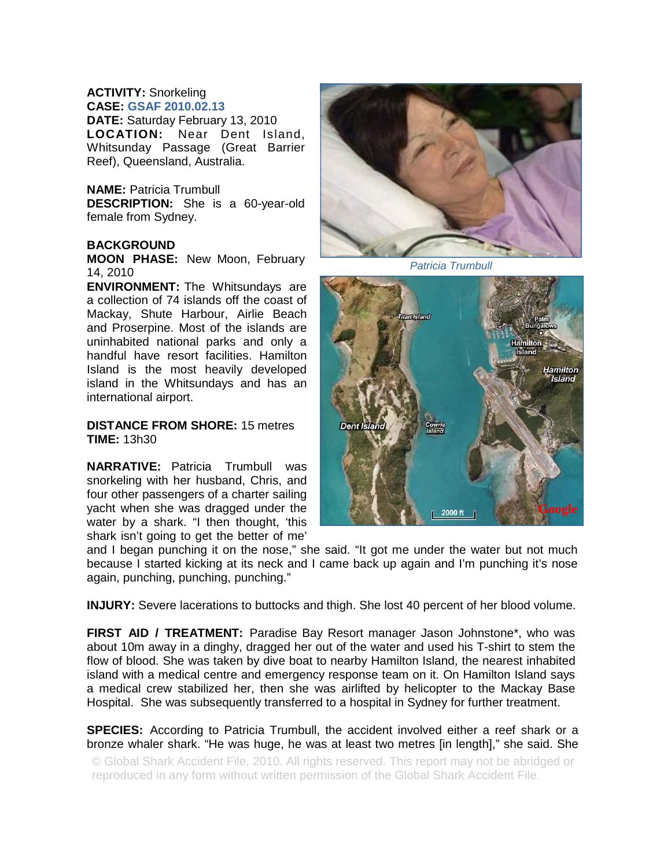## **ACTIVITY:** Snorkeling **CASE: GSAF 2010.02.13**

**DATE:** Saturday February 13, 2010 **LOCATION:** Near Dent Island, Whitsunday Passage (Great Barrier Reef), Queensland, Australia.

## **NAME:** Patricia Trumbull

**DESCRIPTION:** She is a 60-year-old female from Sydney.

## **BACKGROUND**

**MOON PHASE:** New Moon, February 14, 2010

**ENVIRONMENT:** The Whitsundays are a collection of 74 islands off the coast of Mackay, Shute Harbour, Airlie Beach and Proserpine. Most of the islands are uninhabited national parks and only a handful have resort facilities. Hamilton Island is the most heavily developed island in the Whitsundays and has an international airport.

**DISTANCE FROM SHORE:** 15 metres **TIME:** 13h30

**NARRATIVE:** Patricia Trumbull was snorkeling with her husband, Chris, and four other passengers of a charter sailing yacht when she was dragged under the water by a shark. "I then thought, 'this shark isn't going to get the better of me'



*Patricia Trumbull* 



and I began punching it on the nose," she said. "It got me under the water but not much because I started kicking at its neck and I came back up again and I'm punching it's nose again, punching, punching, punching."

**INJURY:** Severe lacerations to buttocks and thigh. She lost 40 percent of her blood volume.

**FIRST AID / TREATMENT:** Paradise Bay Resort manager Jason Johnstone\*, who was about 10m away in a dinghy, dragged her out of the water and used his T-shirt to stem the flow of blood. She was taken by dive boat to nearby Hamilton Island, the nearest inhabited island with a medical centre and emergency response team on it. On Hamilton Island says a medical crew stabilized her, then she was airlifted by helicopter to the Mackay Base Hospital. She was subsequently transferred to a hospital in Sydney for further treatment.

**SPECIES:** According to Patricia Trumbull, the accident involved either a reef shark or a bronze whaler shark. "He was huge, he was at least two metres [in length]," she said. She

© Global Shark Accident File, 2010. All rights reserved. This report may not be abridged or reproduced in any form without written permission of the Global Shark Accident File.